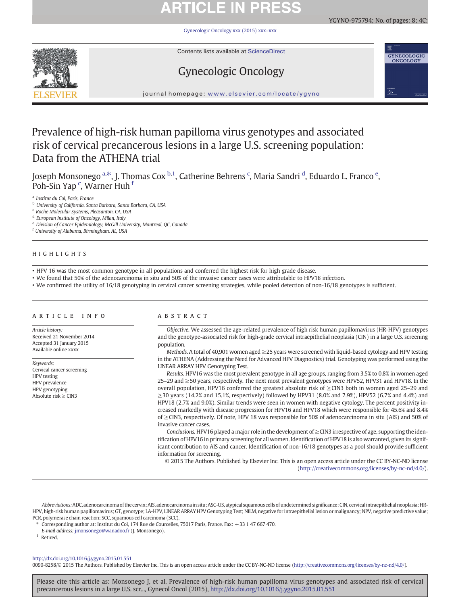# **ARTICLE IN PRESS**

[Gynecologic Oncology xxx \(2015\) xxx](http://dx.doi.org/10.1016/j.ygyno.2015.01.551)–xxx



Contents lists available at ScienceDirect

# Gynecologic Oncology



€

**GYNECOLOGIC** ONCOLOGY

journal homepage: <www.elsevier.com/locate/ygyno>

# Prevalence of high-risk human papilloma virus genotypes and associated risk of cervical precancerous lesions in a large U.S. screening population: Data from the ATHENA trial

Joseph Monsonego <sup>a, $\ast$ </sup>, J. Thomas Cox <sup>b,1</sup>, Catherine Behrens <sup>c</sup>, Maria Sandri <sup>d</sup>, Eduardo L. Franco <sup>e</sup>, Poh-Sin Yap <sup>c</sup>, Warner Huh <sup>f</sup>

<sup>a</sup> Institut du Col, Paris, France

<sup>b</sup> University of California, Santa Barbara, Santa Barbara, CA, USA

<sup>c</sup> Roche Molecular Systems, Pleasanton, CA, USA

<sup>d</sup> European Institute of Oncology, Milan, Italy

<sup>e</sup> Division of Cancer Epidemiology, McGill University, Montreal, QC, Canada

<sup>f</sup> University of Alabama, Birmingham, AL, USA

### HIGHLIGHTS

• HPV 16 was the most common genotype in all populations and conferred the highest risk for high grade disease.

• We found that 50% of the adenocarcinoma in situ and 50% of the invasive cancer cases were attributable to HPV18 infection.

• We confirmed the utility of 16/18 genotyping in cervical cancer screening strategies, while pooled detection of non-16/18 genotypes is sufficient.

### article info abstract

Article history: Received 21 November 2014 Accepted 31 January 2015 Available online xxxx

Keywords: Cervical cancer screening HPV testing HPV prevalence HPV genotyping Absolute risk  $\geq$  CIN3

Objective. We assessed the age-related prevalence of high risk human papillomavirus (HR-HPV) genotypes and the genotype-associated risk for high-grade cervical intraepithelial neoplasia (CIN) in a large U.S. screening population.

Methods. A total of 40,901 women aged ≥25 years were screened with liquid-based cytology and HPV testing in the ATHENA (Addressing the Need for Advanced HPV Diagnostics) trial. Genotyping was performed using the LINEAR ARRAY HPV Genotyping Test.

Results. HPV16 was the most prevalent genotype in all age groups, ranging from 3.5% to 0.8% in women aged 25–29 and ≥50 years, respectively. The next most prevalent genotypes were HPV52, HPV31 and HPV18. In the overall population, HPV16 conferred the greatest absolute risk of ≥CIN3 both in women aged 25–29 and ≥30 years (14.2% and 15.1%, respectively) followed by HPV31 (8.0% and 7.9%), HPV52 (6.7% and 4.4%) and HPV18 (2.7% and 9.0%). Similar trends were seen in women with negative cytology. The percent positivity increased markedly with disease progression for HPV16 and HPV18 which were responsible for 45.6% and 8.4% of ≥CIN3, respectively. Of note, HPV 18 was responsible for 50% of adenocarcinoma in situ (AIS) and 50% of invasive cancer cases.

Conclusions. HPV16 played a major role in the development of ≥CIN3 irrespective of age, supporting the identification of HPV16 in primary screening for all women. Identification of HPV18 is also warranted, given its significant contribution to AIS and cancer. Identification of non-16/18 genotypes as a pool should provide sufficient information for screening.

© 2015 The Authors. Published by Elsevier Inc. This is an open access article under the CC BY-NC-ND license ([http://creativecommons.org/licenses/by-nc-nd/4.0/\)](http://creativecommons.org/licenses/by-nc-nd/4.0/).

Abbreviations: ADC, adenocarcinoma of the cervix; AIS, adenocarcinoma in situ; ASC-US, atypical squamous cells of undetermined significance; CIN, cervical intraepithelial neoplasia; HR-HPV, high-risk human papillomavirus; GT, genotype; LA-HPV, LINEAR ARRAY HPV Genotyping Test; NILM, negative for intraepithelial lesion or malignancy; NPV, negative predictive value; PCR, polymerase chain reaction; SCC, squamous cell carcinoma (SCC).

⁎ Corresponding author at: Institut du Col, 174 Rue de Courcelles, 75017 Paris, France. Fax: +33 1 47 667 470.

E-mail address: [jmonsonego@wanadoo.fr](mailto:jmonsonego@wanadoo.fr) (J. Monsonego).

<sup>1</sup> Retired.

<http://dx.doi.org/10.1016/j.ygyno.2015.01.551>

0090-8258/© 2015 The Authors. Published by Elsevier Inc. This is an open access article under the CC BY-NC-ND license ([http://creativecommons.org/licenses/by-nc-nd/4.0/\)](http://creativecommons.org/licenses/by-nc-nd/4.0/).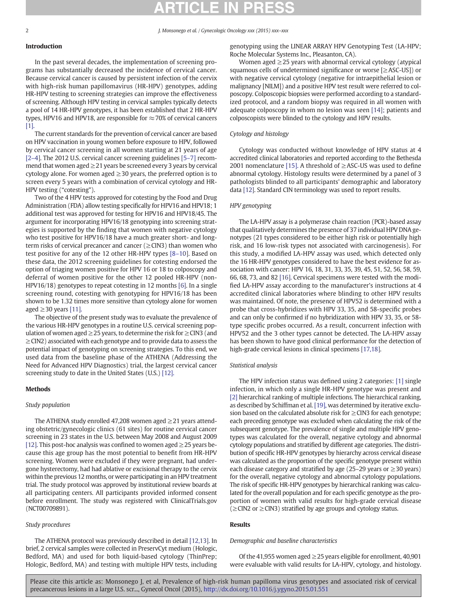# Introduction

In the past several decades, the implementation of screening programs has substantially decreased the incidence of cervical cancer. Because cervical cancer is caused by persistent infection of the cervix with high-risk human papillomavirus (HR-HPV) genotypes, adding HR-HPV testing to screening strategies can improve the effectiveness of screening. Although HPV testing in cervical samples typically detects a pool of 14 HR-HPV genotypes, it has been established that 2 HR-HPV types, HPV16 and HPV18, are responsible for  $\approx$  70% of cervical cancers [\[1\].](#page-7-0)

The current standards for the prevention of cervical cancer are based on HPV vaccination in young women before exposure to HPV, followed by cervical cancer screening in all women starting at 21 years of age [2–[4\].](#page-7-0) The 2012 U.S. cervical cancer screening guidelines [5–[7\]](#page-7-0) recommend that women aged  $\geq$  21 years be screened every 3 years by cervical cytology alone. For women aged  $\geq$  30 years, the preferred option is to screen every 5 years with a combination of cervical cytology and HR-HPV testing ("cotesting").

Two of the 4 HPV tests approved for cotesting by the Food and Drug Administration (FDA) allow testing specifically for HPV16 and HPV18; 1 additional test was approved for testing for HPV16 and HPV18/45. The argument for incorporating HPV16/18 genotyping into screening strategies is supported by the finding that women with negative cytology who test positive for HPV16/18 have a much greater short- and longterm risks of cervical precancer and cancer ( $\geq$ CIN3) than women who test positive for any of the 12 other HR-HPV types [8–[10\]](#page-7-0). Based on these data, the 2012 screening guidelines for cotesting endorsed the option of triaging women positive for HPV 16 or 18 to colposcopy and deferral of women positive for the other 12 pooled HR-HPV (non-HPV16/18) genotypes to repeat cotesting in 12 months [\[6\]](#page-7-0). In a single screening round, cotesting with genotyping for HPV16/18 has been shown to be 1.32 times more sensitive than cytology alone for women aged  $\geq$  30 years [\[11\].](#page-7-0)

The objective of the present study was to evaluate the prevalence of the various HR-HPV genotypes in a routine U.S. cervical screening population of women aged  $\geq$  25 years, to determine the risk for  $\geq$  CIN3 (and ≥CIN2) associated with each genotype and to provide data to assess the potential impact of genotyping on screening strategies. To this end, we used data from the baseline phase of the ATHENA (Addressing the Need for Advanced HPV Diagnostics) trial, the largest cervical cancer screening study to date in the United States (U.S.) [\[12\].](#page-7-0)

## **Methods**

# Study population

The ATHENA study enrolled 47,208 women aged ≥21 years attending obstetric/gynecologic clinics (61 sites) for routine cervical cancer screening in 23 states in the U.S. between May 2008 and August 2009 [\[12\]](#page-7-0). This post-hoc analysis was confined to women aged  $\geq$  25 years because this age group has the most potential to benefit from HR-HPV screening. Women were excluded if they were pregnant, had undergone hysterectomy, had had ablative or excisional therapy to the cervix within the previous 12 months, or were participating in an HPV treatment trial. The study protocol was approved by institutional review boards at all participating centers. All participants provided informed consent before enrollment. The study was registered with ClinicalTrials.gov (NCT00709891).

# Study procedures

The ATHENA protocol was previously described in detail [\[12,13\].](#page-7-0) In brief, 2 cervical samples were collected in PreservCyt medium (Hologic, Bedford, MA) and used for both liquid-based cytology (ThinPrep; Hologic, Bedford, MA) and testing with multiple HPV tests, including

genotyping using the LINEAR ARRAY HPV Genotyping Test (LA-HPV; Roche Molecular Systems Inc., Pleasanton, CA).

Women aged  $\geq$  25 years with abnormal cervical cytology (atypical squamous cells of undetermined significance or worse [≥ASC-US]) or with negative cervical cytology (negative for intraepithelial lesion or malignancy [NILM]) and a positive HPV test result were referred to colposcopy. Colposcopic biopsies were performed according to a standardized protocol, and a random biopsy was required in all women with adequate colposcopy in whom no lesion was seen [\[14\]](#page-7-0); patients and colposcopists were blinded to the cytology and HPV results.

# Cytology and histology

Cytology was conducted without knowledge of HPV status at 4 accredited clinical laboratories and reported according to the Bethesda 2001 nomenclature [\[15\].](#page-7-0) A threshold of  $\geq$  ASC-US was used to define abnormal cytology. Histology results were determined by a panel of 3 pathologists blinded to all participants' demographic and laboratory data [\[12\].](#page-7-0) Standard CIN terminology was used to report results.

# HPV genotyping

The LA-HPV assay is a polymerase chain reaction (PCR)-based assay that qualitatively determines the presence of 37 individual HPV DNA genotypes (21 types considered to be either high risk or potentially high risk, and 16 low-risk types not associated with carcinogenesis). For this study, a modified LA-HPV assay was used, which detected only the 16 HR-HPV genotypes considered to have the best evidence for association with cancer: HPV 16, 18, 31, 33, 35, 39, 45, 51, 52, 56, 58, 59, 66, 68, 73, and 82 [\[16\]](#page-7-0). Cervical specimens were tested with the modified LA-HPV assay according to the manufacturer's instructions at 4 accredited clinical laboratories where blinding to other HPV results was maintained. Of note, the presence of HPV52 is determined with a probe that cross-hybridizes with HPV 33, 35, and 58-specific probes and can only be confirmed if no hybridization with HPV 33, 35, or 58 type specific probes occurred. As a result, concurrent infection with HPV52 and the 3 other types cannot be detected. The LA-HPV assay has been shown to have good clinical performance for the detection of high-grade cervical lesions in clinical specimens [\[17,18\].](#page-7-0)

# Statistical analysis

The HPV infection status was defined using 2 categories: [\[1\]](#page-7-0) single infection, in which only a single HR-HPV genotype was present and [\[2\]](#page-7-0) hierarchical ranking of multiple infections. The hierarchical ranking, as described by Schiffman et al. [\[19\],](#page-7-0) was determined by iterative exclusion based on the calculated absolute risk for  $\geq$  CIN3 for each genotype; each preceding genotype was excluded when calculating the risk of the subsequent genotype. The prevalence of single and multiple HPV genotypes was calculated for the overall, negative cytology and abnormal cytology populations and stratified by different age categories. The distribution of specific HR-HPV genotypes by hierarchy across cervical disease was calculated as the proportion of the specific genotype present within each disease category and stratified by age (25–29 years or  $\geq$ 30 years) for the overall, negative cytology and abnormal cytology populations. The risk of specific HR-HPV genotypes by hierarchical ranking was calculated for the overall population and for each specific genotype as the proportion of women with valid results for high-grade cervical disease (≥CIN2 or ≥CIN3) stratified by age groups and cytology status.

# **Results**

# Demographic and baseline characteristics

Of the 41,955 women aged  $\geq$  25 years eligible for enrollment, 40,901 were evaluable with valid results for LA-HPV, cytology, and histology.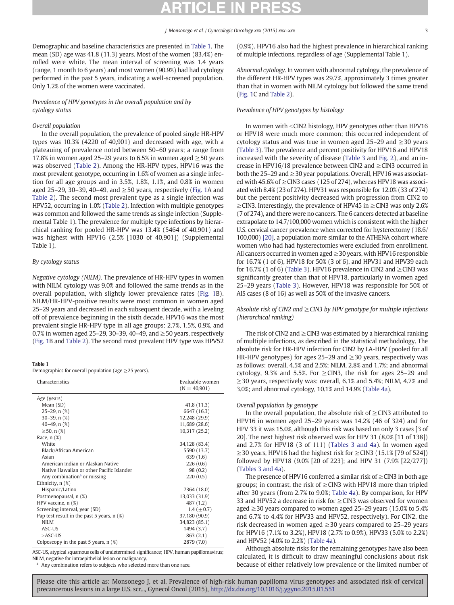Demographic and baseline characteristics are presented in Table 1. The mean (SD) age was 41.8 (11.3) years. Most of the women (83.4%) enrolled were white. The mean interval of screening was 1.4 years (range, 1 month to 6 years) and most women (90.9%) had had cytology performed in the past 5 years, indicating a well-screened population. Only 1.2% of the women were vaccinated.

Prevalence of HPV genotypes in the overall population and by cytology status

#### Overall population

In the overall population, the prevalence of pooled single HR-HPV types was 10.3% (4220 of 40,901) and decreased with age, with a plateauing of prevalence noted between 50–60 years; a range from 17.8% in women aged 25–29 years to 6.5% in women aged ≥50 years was observed ([Table 2\)](#page-3-0). Among the HR-HPV types, HPV16 was the most prevalent genotype, occurring in 1.6% of women as a single infection for all age groups and in 3.5%, 1.8%, 1.1%, and 0.8% in women aged 25–29, 30–39, 40–49, and  $\geq$  50 years, respectively ([Fig. 1](#page-3-0)A and [Table 2\)](#page-3-0). The second most prevalent type as a single infection was HPV52, occurring in 1.0% ([Table 2\)](#page-3-0). Infection with multiple genotypes was common and followed the same trends as single infection (Supplemental Table 1). The prevalence for multiple type infections by hierarchical ranking for pooled HR-HPV was 13.4% (5464 of 40,901) and was highest with HPV16 (2.5% [1030 of 40,901]) (Supplemental Table 1).

### By cytology status

Negative cytology (NILM). The prevalence of HR-HPV types in women with NILM cytology was 9.0% and followed the same trends as in the overall population, with slightly lower prevalence rates ([Fig. 1](#page-3-0)B). NILM/HR-HPV-positive results were most common in women aged 25–29 years and decreased in each subsequent decade, with a leveling off of prevalence beginning in the sixth decade. HPV16 was the most prevalent single HR-HPV type in all age groups: 2.7%, 1.5%, 0.9%, and 0.7% in women aged 25–29, 30–39, 40–49, and  $\geq$  50 years, respectively [\(Fig. 1B](#page-3-0) and [Table 2](#page-3-0)). The second most prevalent HPV type was HPV52

|--|

Demographics for overall population (age  $\geq$  25 years).

| Characteristics                              | Evaluable women<br>$(N = 40,901)$ |
|----------------------------------------------|-----------------------------------|
| Age (years)                                  |                                   |
| Mean (SD)                                    | 41.8 (11.3)                       |
| $25-29$ , n $(\%)$                           | 6647 (16.3)                       |
| $30-39$ , n $(\%)$                           | 12,248 (29.9)                     |
| 40-49, $n$ $(\%)$                            | 11,689 (28.6)                     |
| $\geq$ 50, n (%)                             | 10,317 (25.2)                     |
| Race, $n$ $(\%)$                             |                                   |
| White                                        | 34,128 (83.4)                     |
| Black/African American                       | 5590 (13.7)                       |
| Asian                                        | 639(1.6)                          |
| American Indian or Alaskan Native            | 226(0.6)                          |
| Native Hawaiian or other Pacific Islander    | 98(0.2)                           |
| Any combination <sup>a</sup> or missing      | 220(0.5)                          |
| Ethnicity, $n$ $(\%)$                        |                                   |
| Hispanic/Latino                              | 7364 (18.0)                       |
| Postmenopausal, n (%)                        | 13,033 (31.9)                     |
| HPV vaccine, $n$ $(\%)$                      | 487 (1.2)                         |
| Screening interval, year (SD)                | $1.4~(\pm 0.7)$                   |
| Pap test result in the past 5 years, $n$ (%) | 37,180 (90.9)                     |
| NILM                                         | 34,823 (85.1)                     |
| ASC-US                                       | 1494 (3.7)                        |
| $>ASC-US$                                    | 863(2.1)                          |
| Colposcopy in the past 5 years, $n$ $(\%)$   | 2879 (7.0)                        |

ASC-US, atypical squamous cells of undetermined significance; HPV, human papillomavirus; NILM, negative for intraepithelial lesion or malignancy.

Any combination refers to subjects who selected more than one race.

(0.9%). HPV16 also had the highest prevalence in hierarchical ranking of multiple infections, regardless of age (Supplemental Table 1).

Abnormal cytology. In women with abnormal cytology, the prevalence of the different HR-HPV types was 29.7%, approximately 3 times greater than that in women with NILM cytology but followed the same trend [\(Fig. 1C](#page-3-0) and [Table 2](#page-3-0)).

### Prevalence of HPV genotypes by histology

In women with  $\leq$ CIN2 histology, HPV genotypes other than HPV16 or HPV18 were much more common; this occurred independent of cytology status and was true in women aged 25–29 and ≥30 years [\(Table 3\)](#page-4-0). The prevalence and percent positivity for HPV16 and HPV18 increased with the severity of disease [\(Table 3](#page-4-0) and [Fig. 2\)](#page-4-0), and an increase in HPV16/18 prevalence between CIN2 and ≥CIN3 occurred in both the 25–29 and  $\geq$  30 year populations. Overall, HPV16 was associated with 45.6% of  $\geq$  CIN3 cases (125 of 274), whereas HPV18 was associated with 8.4% (23 of 274). HPV31 was responsible for 12.0% (33 of 274) but the percent positivity decreased with progression from CIN2 to ≥CIN3. Interestingly, the prevalence of HPV45 in ≥CIN3 was only 2.6% (7 of 274), and there were no cancers. The 6 cancers detected at baseline extrapolate to 14.7/100,000 women which is consistent with the higher U.S. cervical cancer prevalence when corrected for hysterectomy (18.6/ 100,000) [\[20\]](#page-7-0), a population more similar to the ATHENA cohort where women who had had hysterectomies were excluded from enrollment. All cancers occurred in women aged ≥30 years, with HPV16 responsible for 16.7% (1 of 6), HPV18 for 50% (3 of 6), and HPV31 and HPV39 each for 16.7% (1 of 6) [\(Table 3\)](#page-4-0). HPV16 prevalence in CIN2 and  $\geq$  CIN3 was significantly greater than that of HPV18, particularly in women aged 25–29 years ([Table 3\)](#page-4-0). However, HPV18 was responsible for 50% of AIS cases (8 of 16) as well as 50% of the invasive cancers.

## Absolute risk of CIN2 and  $\geq$  CIN3 by HPV genotype for multiple infections (hierarchical ranking)

The risk of CIN2 and  $\geq$  CIN3 was estimated by a hierarchical ranking of multiple infections, as described in the statistical methodology. The absolute risk for HR-HPV infection for CIN2 by LA-HPV (pooled for all HR-HPV genotypes) for ages 25–29 and  $\geq$ 30 years, respectively was as follows: overall, 4.5% and 2.5%; NILM, 2.8% and 1.7%; and abnormal cytology, 9.3% and 5.5%. For  $\geq$  CIN3, the risk for ages 25–29 and  $\geq$  30 years, respectively was: overall, 6.1% and 5.4%; NILM, 4.7% and 3.0%; and abnormal cytology, 10.1% and 14.9% [\(Table 4a\)](#page-5-0).

#### Overall population by genotype

In the overall population, the absolute risk of  $\geq$  CIN3 attributed to HPV16 in women aged 25–29 years was 14.2% (46 of 324) and for HPV 33 it was 15.0%, although this risk was based on only 3 cases [3 of 20]. The next highest risk observed was for HPV 31 (8.0% [11 of 138]) and 2.7% for HPV18 (3 of 111) [\(Tables 3 and 4a](#page-4-0)). In women aged  $\geq$  30 years, HPV16 had the highest risk for  $\geq$  CIN3 (15.1% [79 of 524]) followed by HPV18 (9.0% [20 of 223]; and HPV 31 (7.9% [22/277]) [\(Tables 3 and 4a\)](#page-4-0).

The presence of HPV16 conferred a similar risk of  $\geq$  CIN3 in both age groups; in contrast, the risk of  $\geq$  CIN3 with HPV18 more than tripled after 30 years (from 2.7% to 9.0%; [Table 4a\)](#page-5-0). By comparison, for HPV 33 and HPV52 a decrease in risk for  $\geq$  CIN3 was observed for women aged ≥30 years compared to women aged 25–29 years (15.0% to 5.4% and 6.7% to 4.4% for HPV33 and HPV52, respectively). For CIN2, the risk decreased in women aged  $\geq$  30 years compared to 25–29 years for HPV16 (7.1% to 3.2%), HPV18 (2.7% to 0.9%), HPV33 (5.0% to 2.2%) and HPV52 (4.0% to 2.2%) [\(Table 4a\)](#page-5-0).

Although absolute risks for the remaining genotypes have also been calculated, it is difficult to draw meaningful conclusions about risk because of either relatively low prevalence or the limited number of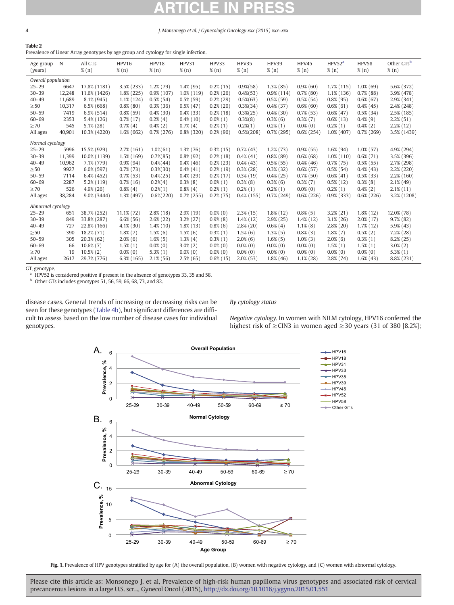# <span id="page-3-0"></span>Table 2

Prevalence of Linear Array genotypes by age group and cytology for single infection.

| Age group               | N      | All GTs        | HPV16         | HPV18          | HPV31         | HPV33         | HPV35          | HPV39         | HPV45         | HPV52 <sup>a</sup> | HPV58         | Other GTsb    |
|-------------------------|--------|----------------|---------------|----------------|---------------|---------------|----------------|---------------|---------------|--------------------|---------------|---------------|
| (years)                 |        | $\%$ $(n)$     | $\%$ (n)      | $\%$ (n)       | $\%$ $(n)$    | $\%$ (n)      | $\%$ (n)       | $\%$ (n)      | $\%$ (n)      | $\%$ (n)           | $\%$ (n)      | $\%$ (n)      |
| Overall population      |        |                |               |                |               |               |                |               |               |                    |               |               |
| $25 - 29$               | 6647   | 17.8% (1181)   | 3.5% (233)    | $1.2\%$ (79)   | $1.4\%$ (95)  | $0.2\%$ (15)  | $0.9\%$ $(58)$ | $1.3\%$ (85)  | 0.9%(60)      | $1.7\%$ (115)      | $1.0\%$ (69)  | 5.6% (372)    |
| $30 - 39$               | 12,248 | 11.6% (1426)   | $1.8\%$ (225) | $0.9\%$ (107)  | $1.0\%$ (119) | $0.2\%$ (26)  | $0.4\%$ $(53)$ | $0.9\%$ (114) | $0.7\%$ (80)  | $1.1\%$ (136)      | $0.7\%$ (88)  | 3.9% (478)    |
| $40 - 49$               | 11,689 | 8.1% (945)     | $1.1\%$ (124) | $0.5\%$ (54)   | $0.5\%$ (59)  | $0.2\%$ (29)  | $0.5\%$ $(63)$ | $0.5\%$ (59)  | $0.5\%$ (54)  | $0.8\%$ (95)       | $0.6\%$ (67)  | 2.9% (341)    |
| $\geq 50$               | 10,317 | $6.5\%$ (668)  | $0.8\%$ (80)  | $0.3\%$ (36)   | $0.5\%$ (47)  | $0.2\%$ (20)  | $0.3\%$ $(34)$ | $0.4\%$ (37)  | $0.6\%$ (60)  | $0.6\%$ (61)       | $0.4\%$ (45)  | $2.4\%$ (248) |
| $50 - 59$               | 7419   | $6.9\%$ (514)  | $0.8\%$ (59)  | $0.4\%$ (30)   | $0.4\%$ (33)  | $0.2\%$ (18)  | $0.3\% (25)$   | $0.4\%$ (30)  | $0.7\%$ (53)  | $0.6\%$ (47)       | $0.5\%$ (34)  | $2.5\%$ (185) |
| $60 - 69$               | 2353   | 5.4% (126)     | $0.7\%$ (17)  | $0.2\%$ (4)    | $0.4\%$ (10)  | $0.0\%$ (1)   | $0.3\%$ $(8)$  | $0.3\%$ (6)   | $0.3\%$ (7)   | $0.6\%$ (13)       | $0.4\%$ (9)   | $2.2\%$ (51)  |
| $\geq 70$               | 545    | $5.1\%$ (28)   | $0.7\%$ (4)   | $0.4\%(2)$     | $0.7\%$ (4)   | $0.2\%$ (1)   | $0.2\%(1)$     | $0.2\%$ (1)   | $0.0\%$ (0)   | $0.2\%$ (1)        | $0.4\%(2)$    | $2.2\%$ (12)  |
| All ages                | 40,901 | 10.3% (4220)   | $1.6\%$ (662) | $0.7\%$ (276)  | $0.8\%$ (320) | $0.2\%$ (90)  | $0.5\% (208)$  | $0.7\%$ (295) | $0.6\%$ (254) | $1.0\%$ (407)      | $0.7\%$ (269) | 3.5% (1439)   |
| Normal cytology         |        |                |               |                |               |               |                |               |               |                    |               |               |
| $25 - 29$               | 5996   | 15.5% (929)    | $2.7\%$ (161) | $1.0\%$ $(61)$ | $1.3\%$ (76)  | $0.3\%$ (15)  | $0.7\%$ (43)   | $1.2%$ (73)   | $0.9\%$ (55)  | $1.6\%$ (94)       | $1.0\%$ (57)  | 4.9% (294)    |
| $30 - 39$               | 11,399 | 10.0% (1139)   | 1.5% (169)    | $0.7\%$ $(85)$ | $0.8\%$ (92)  | $0.2\%$ (18)  | $0.4\%$ (41)   | $0.8\%$ (89)  | $0.6\%$ (68)  | $1.0\%$ (110)      | $0.6\%$ (71)  | 3.5% (396)    |
| $40 - 49$               | 10,962 | 7.1% (779)     | $0.9\%$ (94)  | $0.4\% (44)$   | $0.4\%$ (46)  | $0.2\%$ (23)  | $0.4\%$ (43)   | $0.5\%$ (55)  | $0.4\%$ (46)  | $0.7\%$ (75)       | $0.5\%$ (55)  | 2.7% (298)    |
| $\geq 50$               | 9927   | $6.0\%$ (597)  | $0.7\%$ (73)  | $0.3\%$ $(30)$ | $0.4\%$ (41)  | $0.2\%$ (19)  | $0.3\%$ (28)   | $0.3\%$ (32)  | $0.6\%$ (57)  | $0.5\%$ (54)       | $0.4\%$ (43)  | $2.2\%$ (220) |
| $50 - 59$               | 7114   | $6.4\%$ (452)  | $0.7\%$ (53)  | $0.4\% (25)$   | $0.4\%$ (29)  | $0.2\%$ (17)  | $0.3\%$ (19)   | $0.4\%$ (25)  | $0.7\%$ (50)  | $0.6\%$ (41)       | $0.5\%$ (33)  | 2.2% (160)    |
| $60 - 69$               | 2287   | 5.2% (119)     | $0.7\%$ (16)  | $0.2\%$ (4)    | $0.3\%$ (8)   | $0.0\%$ (1)   | $0.3\%$ (8)    | $0.3\%$ (6)   | $0.3\%$ (7)   | $0.5\%$ (12)       | $0.3\%$ (8)   | $2.1\%$ (49)  |
| $\geq 70$               | 526    | $4.9\%$ (26)   | $0.8\%$ (4)   | $0.2\%(1)$     | $0.8\%$ (4)   | $0.2\%$ (1)   | $0.2\%$ (1)    | $0.2\%$ (1)   | $0.0\%$ (0)   | $0.2\%$ (1)        | $0.4\%(2)$    | $2.1\%$ (11)  |
| All ages                | 38,284 | 9.0% (3444)    | 1.3% (497)    | $0.6\% (220)$  | $0.7\%$ (255) | $0.2\%$ (75)  | $0.4\%$ (155)  | $0.7\%$ (249) | $0.6\%$ (226) | $0.9%$ (333)       | $0.6\%$ (226) | 3.2% (1208)   |
| Abnormal cytology       |        |                |               |                |               |               |                |               |               |                    |               |               |
| $25 - 29$               | 651    | 38.7% (252)    | $11.1\%$ (72) | $2.8\%$ (18)   | $2.9\%$ (19)  | $0.0\%$ (0)   | $2.3\%$ (15)   | $1.8\%$ (12)  | $0.8\%$ (5)   | $3.2\%$ (21)       | $1.8\%$ (12)  | 12.0% (78)    |
| $30 - 39$               | 849    | 33.8% (287)    | $6.6\%$ (56)  | $2.6\%$ (22)   | $3.2\%$ (27)  | 0.9%(8)       | $1.4\%$ (12)   | $2.9\%$ (25)  | $1.4\%$ (12)  | $3.1\%$ (26)       | $2.0\%$ (17)  | $9.7\%$ (82)  |
| $40 - 49$               | 727    | 22.8% (166)    | $4.1\%$ (30)  | $1.4\%$ (10)   | $1.8\%$ (13)  | $0.8\%$ (6)   | $2.8\%$ (20)   | $0.6\%$ (4)   | $1.1\%$ (8)   | $2.8\%$ (20)       | $1.7\%$ (12)  | 5.9%(43)      |
| $\geq 50$               | 390    | 18.2% (71)     | $1.8\%$ $(7)$ | $1.5\%$ (6)    | $1.5\%$ (6)   | $0.3\%$ (1)   | $1.5\%$ (6)    | $1.3\%$ (5)   | $0.8\%$ (3)   | $1.8\%$ (7)        | $0.5\%$ (2)   | $7.2%$ $(28)$ |
| $50 - 59$               | 305    | $20.3\%$ (62)  | $2.0\%$ (6)   | $1.6\%$ (5)    | $1.3\%$ (4)   | $0.3\%$ $(1)$ | $2.0\%$ (6)    | $1.6\%$ (5)   | $1.0\%$ (3)   | $2.0\%$ (6)        | $0.3\%$ (1)   | $8.2\%$ (25)  |
| $60 - 69$               | 66     | $10.6\%$ (7)   | $1.5\%$ $(1)$ | $0.0\%$ (0)    | $3.0\%$ $(2)$ | $0.0\%$ (0)   | $0.0\%$ (0)    | $0.0\%$ (0)   | $0.0\%$ (0)   | $1.5\%$ (1)        | $1.5\%$ (1)   | $3.0\%$ (2)   |
| $\geq 70$               | 19     | $10.5\%$ $(2)$ | $0.0\%$ (0)   | $5.3\%$ (1)    | $0.0\%$ (0)   | $0.0\%$ (0)   | $0.0\%$ (0)    | $0.0\%$ (0)   | $0.0\%$ (0)   | $0.0\%$ (0)        | $0.0\%$ (0)   | $5.3\%$ (1)   |
| All ages                | 2617   | 29.7% (776)    | $6.3\%$ (165) | $2.1\%$ (56)   | $2.5\%$ (65)  | $0.6\%$ (15)  | $2.0\%$ (53)   | $1.8\%$ (46)  | $1.1\%$ (28)  | $2.8\%$ (74)       | $1.6\%$ (43)  | 8.8% (231)    |
| $\mathcal{T}$ construes |        |                |               |                |               |               |                |               |               |                    |               |               |

GT, genotype.

HPV52 is considered positive if present in the absence of genotypes 33, 35 and 58.

b Other GTs includes genotypes 51, 56, 59, 66, 68, 73, and 82.

disease cases. General trends of increasing or decreasing risks can be seen for these genotypes ([Table 4b](#page-5-0)), but significant differences are difficult to assess based on the low number of disease cases for individual genotypes.

### By cytology status

Negative cytology. In women with NILM cytology, HPV16 conferred the highest risk of  $\geq$  CIN3 in women aged  $\geq$  30 years (31 of 380 [8.2%];



Fig. 1. Prevalence of HPV genotypes stratified by age for (A) the overall population, (B) women with negative cytology, and (C) women with abnormal cytology.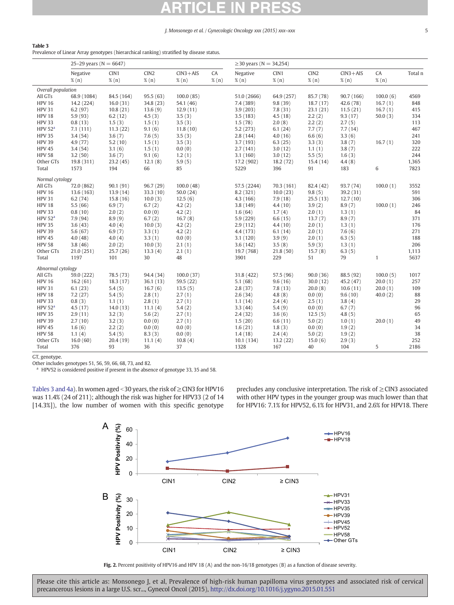<span id="page-4-0"></span>

**Table 3**<br>Prevalence of Linear Array genotypes (hierarchical ranking) stratified by disease status.

| Negative<br>CIN1<br>CIN <sub>2</sub><br>$CIN3 + AIS$<br>CA<br>Negative<br>CIN1<br>CIN <sub>2</sub><br>$CIN3 + AIS$<br>CA<br>Total n<br>$\%$ (n)<br>% (n)<br>% (n)<br>$\%$ $(n)$<br>% (n)<br>$\%$ $(n)$<br>$\%$ (n)<br>$\%$ (n)<br>$\%$ $(n)$<br>$\%$ (n)<br>Overall population<br>All GTs<br>68.9 (1084)<br>84.5 (164)<br>95.5(63)<br>51.0 (2666)<br>64.9 (257)<br>85.7 (78)<br>90.7 (166)<br>100.0(6)<br>4569<br>100.0(85)<br><b>HPV 16</b><br>16.0(31)<br>7.4 (389)<br>42.6 (78)<br>848<br>14.2 (224)<br>34.8 (23)<br>54.1 (46)<br>9.8(39)<br>18.7(17)<br>16.7(1)<br><b>HPV 31</b><br>6.2(97)<br>10.8(21)<br>13.6(9)<br>12.9(11)<br>3.9(203)<br>7.8(31)<br>23.1(21)<br>11.5(21)<br>16.7(1)<br>415<br><b>HPV 18</b><br>5.9(93)<br>6.2(12)<br>4.5(3)<br>3.5(3)<br>3.5(183)<br>4.5(18)<br>2.2(2)<br>9.3(17)<br>50.0 $(3)$<br>334<br><b>HPV 33</b><br>0.8(13)<br>1.5(3)<br>1.5(1)<br>3.5(3)<br>1.5(78)<br>2.0(8)<br>2.2(2)<br>2.7(5)<br>113<br>HPV 52 <sup>a</sup><br>7.1(111)<br>11.3(22)<br>9.1(6)<br>11.8(10)<br>5.2(273)<br>6.1(24)<br>7.7(7)<br>7.7(14)<br>467<br><b>HPV 35</b><br>3.6(7)<br>3.4(54)<br>7.6(5)<br>3.5(3)<br>2.8(144)<br>4.0(16)<br>6.6(6)<br>3.3(6)<br>241<br><b>HPV 39</b><br>4.9(77)<br>5.2(10)<br>1.5(1)<br>3.5(3)<br>3.7(193)<br>3.3(3)<br>3.8(7)<br>16.7(1)<br>320<br>6.3(25)<br><b>HPV 45</b><br>3.4(54)<br>3.1(6)<br>2.7(141)<br>3.0(12)<br>3.8(7)<br>222<br>1.5(1)<br>0.0(0)<br>1.1(1)<br><b>HPV 58</b><br>244<br>3.2(50)<br>3.6(7)<br>9.1(6)<br>1.2(1)<br>3.1(160)<br>3.0(12)<br>5.5(5)<br>1.6(3)<br>4.4(8)<br>1,365<br>Other GTs<br>19.8 (311)<br>23.2(45)<br>12.1(8)<br>5.9(5)<br>17.2 (902)<br>18.2(72)<br>15.4(14)<br>6<br>1573<br>66<br>85<br>5229<br>91<br>183<br>7823<br>Total<br>194<br>396<br>Normal cytology<br>90.1(91)<br>All GTs<br>72.0 (862)<br>96.7 (29)<br>100.0(48)<br>57.5 (2244)<br>70.3(161)<br>82.4 (42)<br>93.7 (74)<br>100.0(1)<br>3552<br><b>HPV 16</b><br>13.6(163)<br>13.9(14)<br>33.3 (10)<br>50.0(24)<br>8.2 (321)<br>10.0(23)<br>9.8(5)<br>39.2 (31)<br>591<br><b>HPV 31</b><br>306<br>6.2(74)<br>15.8(16)<br>10.0(3)<br>12.5(6)<br>4.3(166)<br>7.9(18)<br>25.5(13)<br>12.7(10)<br><b>HPV 18</b><br>5.5(66)<br>6.9(7)<br>6.7(2)<br>4.2(2)<br>8.9(7)<br>100.0(1)<br>246<br>3.8(149)<br>4.4(10)<br>3.9(2)<br><b>HPV 33</b><br>0.8(10)<br>2.0(2)<br>0.0(0)<br>4.2(2)<br>1.6(64)<br>1.7(4)<br>2.0(1)<br>1.3(1)<br>84<br>HPV 52 <sup>a</sup><br>7.9 (94)<br>8.9(9)<br>6.7(2)<br>16.7(8)<br>5.9(229)<br>13.7(7)<br>8.9(7)<br>371<br>6.6(15)<br><b>HPV 35</b><br>3.6(43)<br>4.0(4)<br>10.0(3)<br>4.2(2)<br>1.3(1)<br>176<br>2.9(112)<br>4.4(10)<br>2.0(1)<br><b>HPV 39</b><br>6.9(7)<br>7.6(6)<br>5.6(67)<br>3.3(1)<br>4.2(2)<br>4.4 (173)<br>6.1(14)<br>2.0(1)<br>271<br><b>HPV 45</b><br>6.3(5)<br>188<br>4.0(48)<br>4.0(4)<br>3.3(1)<br>0.0(0)<br>3.1(120)<br>3.9(9)<br>2.0(1)<br><b>HPV 58</b><br>206<br>3.8(46)<br>2.0(2)<br>10.0(3)<br>2.1(1)<br>3.6(142)<br>3.5(8)<br>5.9(3)<br>1.3(1)<br>Other GTs<br>25.7(26)<br>13.3(4)<br>15.7(8)<br>6.3(5)<br>1,113<br>21.0(251)<br>2.1(1)<br>19.7 (768)<br>21.8(50)<br>Total<br>1197<br>101<br>30<br>48<br>3901<br>229<br>51<br>79<br>$\mathbf{1}$<br>5637<br>Abnormal cytology<br>All GTs<br>78.5 (73)<br>94.4 (34)<br>31.8 (422)<br>88.5 (92)<br>59.0 (222)<br>100.0(37)<br>57.5 (96)<br>90.0(36)<br>100.0(5)<br>1017<br><b>HPV 16</b><br>5.1(68)<br>45.2(47)<br>257<br>16.2(61)<br>18.3(17)<br>36.1(13)<br>59.5 (22)<br>9.6(16)<br>30.0(12)<br>20.0(1)<br><b>HPV 31</b><br>6.1(23)<br>5.4(5)<br>16.7(6)<br>13.5(5)<br>2.8(37)<br>10.6(11)<br>7.8(13)<br>20.0(8)<br>20.0(1)<br>109<br><b>HPV 18</b><br>7.2(27)<br>88<br>5.4(5)<br>2.8(1)<br>2.7(1)<br>2.6(34)<br>4.8(8)<br>0.0(0)<br>9.6(10)<br>40.0(2)<br><b>HPV 33</b><br>0.8(3)<br>2.8(1)<br>2.5(1)<br>3.8(4)<br>29<br>1.1(1)<br>2.7(1)<br>1.1(14)<br>2.4(4)<br>HPV 52 <sup>a</sup><br>3.3(44)<br>96<br>4.5(17)<br>14.0(13)<br>11.1(4)<br>5.4(2)<br>5.4(9)<br>0.0(0)<br>6.7(7)<br><b>HPV 35</b><br>2.9(11)<br>3.2(3)<br>2.7(1)<br>2.4(32)<br>4.8(5)<br>65<br>5.6(2)<br>3.6(6)<br>12.5(5)<br><b>HPV 39</b><br>3.2(3)<br>20.0(1)<br>49<br>2.7(10)<br>0.0(0)<br>2.7(1)<br>1.5(20)<br>6.6(11)<br>5.0(2)<br>1.0(1)<br><b>HPV 45</b><br>34<br>1.6(6)<br>2.2(2)<br>0.0(0)<br>0.0(0)<br>1.6(21)<br>1.8(3)<br>0.0(0)<br>1.9(2)<br><b>HPV 58</b><br>38<br>1.1(4)<br>5.4(5)<br>8.3(3)<br>0.0(0)<br>1.4(18)<br>2.4(4)<br>5.0(2)<br>1.9(2)<br>252<br>Other GTs<br>16.0(60)<br>20.4(19)<br>10.8(4)<br>10.1(134)<br>13.2(22)<br>15.0(6)<br>2.9(3)<br>11.1(4)<br>37<br>376<br>93<br>36<br>1328<br>167<br>40<br>104<br>5<br>2186<br>Total | 25-29 years ( $N = 6647$ ) |  |  | ≥30 years ( $N = 34,254$ ) |  |  |  |
|-------------------------------------------------------------------------------------------------------------------------------------------------------------------------------------------------------------------------------------------------------------------------------------------------------------------------------------------------------------------------------------------------------------------------------------------------------------------------------------------------------------------------------------------------------------------------------------------------------------------------------------------------------------------------------------------------------------------------------------------------------------------------------------------------------------------------------------------------------------------------------------------------------------------------------------------------------------------------------------------------------------------------------------------------------------------------------------------------------------------------------------------------------------------------------------------------------------------------------------------------------------------------------------------------------------------------------------------------------------------------------------------------------------------------------------------------------------------------------------------------------------------------------------------------------------------------------------------------------------------------------------------------------------------------------------------------------------------------------------------------------------------------------------------------------------------------------------------------------------------------------------------------------------------------------------------------------------------------------------------------------------------------------------------------------------------------------------------------------------------------------------------------------------------------------------------------------------------------------------------------------------------------------------------------------------------------------------------------------------------------------------------------------------------------------------------------------------------------------------------------------------------------------------------------------------------------------------------------------------------------------------------------------------------------------------------------------------------------------------------------------------------------------------------------------------------------------------------------------------------------------------------------------------------------------------------------------------------------------------------------------------------------------------------------------------------------------------------------------------------------------------------------------------------------------------------------------------------------------------------------------------------------------------------------------------------------------------------------------------------------------------------------------------------------------------------------------------------------------------------------------------------------------------------------------------------------------------------------------------------------------------------------------------------------------------------------------------------------------------------------------------------------------------------------------------------------------------------------------------------------------------------------------------------------------------------------------------------------------------------------------------------------------------------------------------------------------------------------------------------------------------------------------------------------------------------------------------------------------------------------------------------------------------------------------------------------------------------------------------------------------------------------------------------------------------------------------------------------------------------------------------------------------------------------------------------------------|----------------------------|--|--|----------------------------|--|--|--|
|                                                                                                                                                                                                                                                                                                                                                                                                                                                                                                                                                                                                                                                                                                                                                                                                                                                                                                                                                                                                                                                                                                                                                                                                                                                                                                                                                                                                                                                                                                                                                                                                                                                                                                                                                                                                                                                                                                                                                                                                                                                                                                                                                                                                                                                                                                                                                                                                                                                                                                                                                                                                                                                                                                                                                                                                                                                                                                                                                                                                                                                                                                                                                                                                                                                                                                                                                                                                                                                                                                                                                                                                                                                                                                                                                                                                                                                                                                                                                                                                                                                                                                                                                                                                                                                                                                                                                                                                                                                                                                                                                                               |                            |  |  |                            |  |  |  |
|                                                                                                                                                                                                                                                                                                                                                                                                                                                                                                                                                                                                                                                                                                                                                                                                                                                                                                                                                                                                                                                                                                                                                                                                                                                                                                                                                                                                                                                                                                                                                                                                                                                                                                                                                                                                                                                                                                                                                                                                                                                                                                                                                                                                                                                                                                                                                                                                                                                                                                                                                                                                                                                                                                                                                                                                                                                                                                                                                                                                                                                                                                                                                                                                                                                                                                                                                                                                                                                                                                                                                                                                                                                                                                                                                                                                                                                                                                                                                                                                                                                                                                                                                                                                                                                                                                                                                                                                                                                                                                                                                                               |                            |  |  |                            |  |  |  |
|                                                                                                                                                                                                                                                                                                                                                                                                                                                                                                                                                                                                                                                                                                                                                                                                                                                                                                                                                                                                                                                                                                                                                                                                                                                                                                                                                                                                                                                                                                                                                                                                                                                                                                                                                                                                                                                                                                                                                                                                                                                                                                                                                                                                                                                                                                                                                                                                                                                                                                                                                                                                                                                                                                                                                                                                                                                                                                                                                                                                                                                                                                                                                                                                                                                                                                                                                                                                                                                                                                                                                                                                                                                                                                                                                                                                                                                                                                                                                                                                                                                                                                                                                                                                                                                                                                                                                                                                                                                                                                                                                                               |                            |  |  |                            |  |  |  |
|                                                                                                                                                                                                                                                                                                                                                                                                                                                                                                                                                                                                                                                                                                                                                                                                                                                                                                                                                                                                                                                                                                                                                                                                                                                                                                                                                                                                                                                                                                                                                                                                                                                                                                                                                                                                                                                                                                                                                                                                                                                                                                                                                                                                                                                                                                                                                                                                                                                                                                                                                                                                                                                                                                                                                                                                                                                                                                                                                                                                                                                                                                                                                                                                                                                                                                                                                                                                                                                                                                                                                                                                                                                                                                                                                                                                                                                                                                                                                                                                                                                                                                                                                                                                                                                                                                                                                                                                                                                                                                                                                                               |                            |  |  |                            |  |  |  |
|                                                                                                                                                                                                                                                                                                                                                                                                                                                                                                                                                                                                                                                                                                                                                                                                                                                                                                                                                                                                                                                                                                                                                                                                                                                                                                                                                                                                                                                                                                                                                                                                                                                                                                                                                                                                                                                                                                                                                                                                                                                                                                                                                                                                                                                                                                                                                                                                                                                                                                                                                                                                                                                                                                                                                                                                                                                                                                                                                                                                                                                                                                                                                                                                                                                                                                                                                                                                                                                                                                                                                                                                                                                                                                                                                                                                                                                                                                                                                                                                                                                                                                                                                                                                                                                                                                                                                                                                                                                                                                                                                                               |                            |  |  |                            |  |  |  |
|                                                                                                                                                                                                                                                                                                                                                                                                                                                                                                                                                                                                                                                                                                                                                                                                                                                                                                                                                                                                                                                                                                                                                                                                                                                                                                                                                                                                                                                                                                                                                                                                                                                                                                                                                                                                                                                                                                                                                                                                                                                                                                                                                                                                                                                                                                                                                                                                                                                                                                                                                                                                                                                                                                                                                                                                                                                                                                                                                                                                                                                                                                                                                                                                                                                                                                                                                                                                                                                                                                                                                                                                                                                                                                                                                                                                                                                                                                                                                                                                                                                                                                                                                                                                                                                                                                                                                                                                                                                                                                                                                                               |                            |  |  |                            |  |  |  |
|                                                                                                                                                                                                                                                                                                                                                                                                                                                                                                                                                                                                                                                                                                                                                                                                                                                                                                                                                                                                                                                                                                                                                                                                                                                                                                                                                                                                                                                                                                                                                                                                                                                                                                                                                                                                                                                                                                                                                                                                                                                                                                                                                                                                                                                                                                                                                                                                                                                                                                                                                                                                                                                                                                                                                                                                                                                                                                                                                                                                                                                                                                                                                                                                                                                                                                                                                                                                                                                                                                                                                                                                                                                                                                                                                                                                                                                                                                                                                                                                                                                                                                                                                                                                                                                                                                                                                                                                                                                                                                                                                                               |                            |  |  |                            |  |  |  |
|                                                                                                                                                                                                                                                                                                                                                                                                                                                                                                                                                                                                                                                                                                                                                                                                                                                                                                                                                                                                                                                                                                                                                                                                                                                                                                                                                                                                                                                                                                                                                                                                                                                                                                                                                                                                                                                                                                                                                                                                                                                                                                                                                                                                                                                                                                                                                                                                                                                                                                                                                                                                                                                                                                                                                                                                                                                                                                                                                                                                                                                                                                                                                                                                                                                                                                                                                                                                                                                                                                                                                                                                                                                                                                                                                                                                                                                                                                                                                                                                                                                                                                                                                                                                                                                                                                                                                                                                                                                                                                                                                                               |                            |  |  |                            |  |  |  |
|                                                                                                                                                                                                                                                                                                                                                                                                                                                                                                                                                                                                                                                                                                                                                                                                                                                                                                                                                                                                                                                                                                                                                                                                                                                                                                                                                                                                                                                                                                                                                                                                                                                                                                                                                                                                                                                                                                                                                                                                                                                                                                                                                                                                                                                                                                                                                                                                                                                                                                                                                                                                                                                                                                                                                                                                                                                                                                                                                                                                                                                                                                                                                                                                                                                                                                                                                                                                                                                                                                                                                                                                                                                                                                                                                                                                                                                                                                                                                                                                                                                                                                                                                                                                                                                                                                                                                                                                                                                                                                                                                                               |                            |  |  |                            |  |  |  |
|                                                                                                                                                                                                                                                                                                                                                                                                                                                                                                                                                                                                                                                                                                                                                                                                                                                                                                                                                                                                                                                                                                                                                                                                                                                                                                                                                                                                                                                                                                                                                                                                                                                                                                                                                                                                                                                                                                                                                                                                                                                                                                                                                                                                                                                                                                                                                                                                                                                                                                                                                                                                                                                                                                                                                                                                                                                                                                                                                                                                                                                                                                                                                                                                                                                                                                                                                                                                                                                                                                                                                                                                                                                                                                                                                                                                                                                                                                                                                                                                                                                                                                                                                                                                                                                                                                                                                                                                                                                                                                                                                                               |                            |  |  |                            |  |  |  |
|                                                                                                                                                                                                                                                                                                                                                                                                                                                                                                                                                                                                                                                                                                                                                                                                                                                                                                                                                                                                                                                                                                                                                                                                                                                                                                                                                                                                                                                                                                                                                                                                                                                                                                                                                                                                                                                                                                                                                                                                                                                                                                                                                                                                                                                                                                                                                                                                                                                                                                                                                                                                                                                                                                                                                                                                                                                                                                                                                                                                                                                                                                                                                                                                                                                                                                                                                                                                                                                                                                                                                                                                                                                                                                                                                                                                                                                                                                                                                                                                                                                                                                                                                                                                                                                                                                                                                                                                                                                                                                                                                                               |                            |  |  |                            |  |  |  |
|                                                                                                                                                                                                                                                                                                                                                                                                                                                                                                                                                                                                                                                                                                                                                                                                                                                                                                                                                                                                                                                                                                                                                                                                                                                                                                                                                                                                                                                                                                                                                                                                                                                                                                                                                                                                                                                                                                                                                                                                                                                                                                                                                                                                                                                                                                                                                                                                                                                                                                                                                                                                                                                                                                                                                                                                                                                                                                                                                                                                                                                                                                                                                                                                                                                                                                                                                                                                                                                                                                                                                                                                                                                                                                                                                                                                                                                                                                                                                                                                                                                                                                                                                                                                                                                                                                                                                                                                                                                                                                                                                                               |                            |  |  |                            |  |  |  |
|                                                                                                                                                                                                                                                                                                                                                                                                                                                                                                                                                                                                                                                                                                                                                                                                                                                                                                                                                                                                                                                                                                                                                                                                                                                                                                                                                                                                                                                                                                                                                                                                                                                                                                                                                                                                                                                                                                                                                                                                                                                                                                                                                                                                                                                                                                                                                                                                                                                                                                                                                                                                                                                                                                                                                                                                                                                                                                                                                                                                                                                                                                                                                                                                                                                                                                                                                                                                                                                                                                                                                                                                                                                                                                                                                                                                                                                                                                                                                                                                                                                                                                                                                                                                                                                                                                                                                                                                                                                                                                                                                                               |                            |  |  |                            |  |  |  |
|                                                                                                                                                                                                                                                                                                                                                                                                                                                                                                                                                                                                                                                                                                                                                                                                                                                                                                                                                                                                                                                                                                                                                                                                                                                                                                                                                                                                                                                                                                                                                                                                                                                                                                                                                                                                                                                                                                                                                                                                                                                                                                                                                                                                                                                                                                                                                                                                                                                                                                                                                                                                                                                                                                                                                                                                                                                                                                                                                                                                                                                                                                                                                                                                                                                                                                                                                                                                                                                                                                                                                                                                                                                                                                                                                                                                                                                                                                                                                                                                                                                                                                                                                                                                                                                                                                                                                                                                                                                                                                                                                                               |                            |  |  |                            |  |  |  |
|                                                                                                                                                                                                                                                                                                                                                                                                                                                                                                                                                                                                                                                                                                                                                                                                                                                                                                                                                                                                                                                                                                                                                                                                                                                                                                                                                                                                                                                                                                                                                                                                                                                                                                                                                                                                                                                                                                                                                                                                                                                                                                                                                                                                                                                                                                                                                                                                                                                                                                                                                                                                                                                                                                                                                                                                                                                                                                                                                                                                                                                                                                                                                                                                                                                                                                                                                                                                                                                                                                                                                                                                                                                                                                                                                                                                                                                                                                                                                                                                                                                                                                                                                                                                                                                                                                                                                                                                                                                                                                                                                                               |                            |  |  |                            |  |  |  |
|                                                                                                                                                                                                                                                                                                                                                                                                                                                                                                                                                                                                                                                                                                                                                                                                                                                                                                                                                                                                                                                                                                                                                                                                                                                                                                                                                                                                                                                                                                                                                                                                                                                                                                                                                                                                                                                                                                                                                                                                                                                                                                                                                                                                                                                                                                                                                                                                                                                                                                                                                                                                                                                                                                                                                                                                                                                                                                                                                                                                                                                                                                                                                                                                                                                                                                                                                                                                                                                                                                                                                                                                                                                                                                                                                                                                                                                                                                                                                                                                                                                                                                                                                                                                                                                                                                                                                                                                                                                                                                                                                                               |                            |  |  |                            |  |  |  |
|                                                                                                                                                                                                                                                                                                                                                                                                                                                                                                                                                                                                                                                                                                                                                                                                                                                                                                                                                                                                                                                                                                                                                                                                                                                                                                                                                                                                                                                                                                                                                                                                                                                                                                                                                                                                                                                                                                                                                                                                                                                                                                                                                                                                                                                                                                                                                                                                                                                                                                                                                                                                                                                                                                                                                                                                                                                                                                                                                                                                                                                                                                                                                                                                                                                                                                                                                                                                                                                                                                                                                                                                                                                                                                                                                                                                                                                                                                                                                                                                                                                                                                                                                                                                                                                                                                                                                                                                                                                                                                                                                                               |                            |  |  |                            |  |  |  |
|                                                                                                                                                                                                                                                                                                                                                                                                                                                                                                                                                                                                                                                                                                                                                                                                                                                                                                                                                                                                                                                                                                                                                                                                                                                                                                                                                                                                                                                                                                                                                                                                                                                                                                                                                                                                                                                                                                                                                                                                                                                                                                                                                                                                                                                                                                                                                                                                                                                                                                                                                                                                                                                                                                                                                                                                                                                                                                                                                                                                                                                                                                                                                                                                                                                                                                                                                                                                                                                                                                                                                                                                                                                                                                                                                                                                                                                                                                                                                                                                                                                                                                                                                                                                                                                                                                                                                                                                                                                                                                                                                                               |                            |  |  |                            |  |  |  |
|                                                                                                                                                                                                                                                                                                                                                                                                                                                                                                                                                                                                                                                                                                                                                                                                                                                                                                                                                                                                                                                                                                                                                                                                                                                                                                                                                                                                                                                                                                                                                                                                                                                                                                                                                                                                                                                                                                                                                                                                                                                                                                                                                                                                                                                                                                                                                                                                                                                                                                                                                                                                                                                                                                                                                                                                                                                                                                                                                                                                                                                                                                                                                                                                                                                                                                                                                                                                                                                                                                                                                                                                                                                                                                                                                                                                                                                                                                                                                                                                                                                                                                                                                                                                                                                                                                                                                                                                                                                                                                                                                                               |                            |  |  |                            |  |  |  |
|                                                                                                                                                                                                                                                                                                                                                                                                                                                                                                                                                                                                                                                                                                                                                                                                                                                                                                                                                                                                                                                                                                                                                                                                                                                                                                                                                                                                                                                                                                                                                                                                                                                                                                                                                                                                                                                                                                                                                                                                                                                                                                                                                                                                                                                                                                                                                                                                                                                                                                                                                                                                                                                                                                                                                                                                                                                                                                                                                                                                                                                                                                                                                                                                                                                                                                                                                                                                                                                                                                                                                                                                                                                                                                                                                                                                                                                                                                                                                                                                                                                                                                                                                                                                                                                                                                                                                                                                                                                                                                                                                                               |                            |  |  |                            |  |  |  |
|                                                                                                                                                                                                                                                                                                                                                                                                                                                                                                                                                                                                                                                                                                                                                                                                                                                                                                                                                                                                                                                                                                                                                                                                                                                                                                                                                                                                                                                                                                                                                                                                                                                                                                                                                                                                                                                                                                                                                                                                                                                                                                                                                                                                                                                                                                                                                                                                                                                                                                                                                                                                                                                                                                                                                                                                                                                                                                                                                                                                                                                                                                                                                                                                                                                                                                                                                                                                                                                                                                                                                                                                                                                                                                                                                                                                                                                                                                                                                                                                                                                                                                                                                                                                                                                                                                                                                                                                                                                                                                                                                                               |                            |  |  |                            |  |  |  |
|                                                                                                                                                                                                                                                                                                                                                                                                                                                                                                                                                                                                                                                                                                                                                                                                                                                                                                                                                                                                                                                                                                                                                                                                                                                                                                                                                                                                                                                                                                                                                                                                                                                                                                                                                                                                                                                                                                                                                                                                                                                                                                                                                                                                                                                                                                                                                                                                                                                                                                                                                                                                                                                                                                                                                                                                                                                                                                                                                                                                                                                                                                                                                                                                                                                                                                                                                                                                                                                                                                                                                                                                                                                                                                                                                                                                                                                                                                                                                                                                                                                                                                                                                                                                                                                                                                                                                                                                                                                                                                                                                                               |                            |  |  |                            |  |  |  |
|                                                                                                                                                                                                                                                                                                                                                                                                                                                                                                                                                                                                                                                                                                                                                                                                                                                                                                                                                                                                                                                                                                                                                                                                                                                                                                                                                                                                                                                                                                                                                                                                                                                                                                                                                                                                                                                                                                                                                                                                                                                                                                                                                                                                                                                                                                                                                                                                                                                                                                                                                                                                                                                                                                                                                                                                                                                                                                                                                                                                                                                                                                                                                                                                                                                                                                                                                                                                                                                                                                                                                                                                                                                                                                                                                                                                                                                                                                                                                                                                                                                                                                                                                                                                                                                                                                                                                                                                                                                                                                                                                                               |                            |  |  |                            |  |  |  |
|                                                                                                                                                                                                                                                                                                                                                                                                                                                                                                                                                                                                                                                                                                                                                                                                                                                                                                                                                                                                                                                                                                                                                                                                                                                                                                                                                                                                                                                                                                                                                                                                                                                                                                                                                                                                                                                                                                                                                                                                                                                                                                                                                                                                                                                                                                                                                                                                                                                                                                                                                                                                                                                                                                                                                                                                                                                                                                                                                                                                                                                                                                                                                                                                                                                                                                                                                                                                                                                                                                                                                                                                                                                                                                                                                                                                                                                                                                                                                                                                                                                                                                                                                                                                                                                                                                                                                                                                                                                                                                                                                                               |                            |  |  |                            |  |  |  |
|                                                                                                                                                                                                                                                                                                                                                                                                                                                                                                                                                                                                                                                                                                                                                                                                                                                                                                                                                                                                                                                                                                                                                                                                                                                                                                                                                                                                                                                                                                                                                                                                                                                                                                                                                                                                                                                                                                                                                                                                                                                                                                                                                                                                                                                                                                                                                                                                                                                                                                                                                                                                                                                                                                                                                                                                                                                                                                                                                                                                                                                                                                                                                                                                                                                                                                                                                                                                                                                                                                                                                                                                                                                                                                                                                                                                                                                                                                                                                                                                                                                                                                                                                                                                                                                                                                                                                                                                                                                                                                                                                                               |                            |  |  |                            |  |  |  |
|                                                                                                                                                                                                                                                                                                                                                                                                                                                                                                                                                                                                                                                                                                                                                                                                                                                                                                                                                                                                                                                                                                                                                                                                                                                                                                                                                                                                                                                                                                                                                                                                                                                                                                                                                                                                                                                                                                                                                                                                                                                                                                                                                                                                                                                                                                                                                                                                                                                                                                                                                                                                                                                                                                                                                                                                                                                                                                                                                                                                                                                                                                                                                                                                                                                                                                                                                                                                                                                                                                                                                                                                                                                                                                                                                                                                                                                                                                                                                                                                                                                                                                                                                                                                                                                                                                                                                                                                                                                                                                                                                                               |                            |  |  |                            |  |  |  |
|                                                                                                                                                                                                                                                                                                                                                                                                                                                                                                                                                                                                                                                                                                                                                                                                                                                                                                                                                                                                                                                                                                                                                                                                                                                                                                                                                                                                                                                                                                                                                                                                                                                                                                                                                                                                                                                                                                                                                                                                                                                                                                                                                                                                                                                                                                                                                                                                                                                                                                                                                                                                                                                                                                                                                                                                                                                                                                                                                                                                                                                                                                                                                                                                                                                                                                                                                                                                                                                                                                                                                                                                                                                                                                                                                                                                                                                                                                                                                                                                                                                                                                                                                                                                                                                                                                                                                                                                                                                                                                                                                                               |                            |  |  |                            |  |  |  |
|                                                                                                                                                                                                                                                                                                                                                                                                                                                                                                                                                                                                                                                                                                                                                                                                                                                                                                                                                                                                                                                                                                                                                                                                                                                                                                                                                                                                                                                                                                                                                                                                                                                                                                                                                                                                                                                                                                                                                                                                                                                                                                                                                                                                                                                                                                                                                                                                                                                                                                                                                                                                                                                                                                                                                                                                                                                                                                                                                                                                                                                                                                                                                                                                                                                                                                                                                                                                                                                                                                                                                                                                                                                                                                                                                                                                                                                                                                                                                                                                                                                                                                                                                                                                                                                                                                                                                                                                                                                                                                                                                                               |                            |  |  |                            |  |  |  |
|                                                                                                                                                                                                                                                                                                                                                                                                                                                                                                                                                                                                                                                                                                                                                                                                                                                                                                                                                                                                                                                                                                                                                                                                                                                                                                                                                                                                                                                                                                                                                                                                                                                                                                                                                                                                                                                                                                                                                                                                                                                                                                                                                                                                                                                                                                                                                                                                                                                                                                                                                                                                                                                                                                                                                                                                                                                                                                                                                                                                                                                                                                                                                                                                                                                                                                                                                                                                                                                                                                                                                                                                                                                                                                                                                                                                                                                                                                                                                                                                                                                                                                                                                                                                                                                                                                                                                                                                                                                                                                                                                                               |                            |  |  |                            |  |  |  |
|                                                                                                                                                                                                                                                                                                                                                                                                                                                                                                                                                                                                                                                                                                                                                                                                                                                                                                                                                                                                                                                                                                                                                                                                                                                                                                                                                                                                                                                                                                                                                                                                                                                                                                                                                                                                                                                                                                                                                                                                                                                                                                                                                                                                                                                                                                                                                                                                                                                                                                                                                                                                                                                                                                                                                                                                                                                                                                                                                                                                                                                                                                                                                                                                                                                                                                                                                                                                                                                                                                                                                                                                                                                                                                                                                                                                                                                                                                                                                                                                                                                                                                                                                                                                                                                                                                                                                                                                                                                                                                                                                                               |                            |  |  |                            |  |  |  |
|                                                                                                                                                                                                                                                                                                                                                                                                                                                                                                                                                                                                                                                                                                                                                                                                                                                                                                                                                                                                                                                                                                                                                                                                                                                                                                                                                                                                                                                                                                                                                                                                                                                                                                                                                                                                                                                                                                                                                                                                                                                                                                                                                                                                                                                                                                                                                                                                                                                                                                                                                                                                                                                                                                                                                                                                                                                                                                                                                                                                                                                                                                                                                                                                                                                                                                                                                                                                                                                                                                                                                                                                                                                                                                                                                                                                                                                                                                                                                                                                                                                                                                                                                                                                                                                                                                                                                                                                                                                                                                                                                                               |                            |  |  |                            |  |  |  |
|                                                                                                                                                                                                                                                                                                                                                                                                                                                                                                                                                                                                                                                                                                                                                                                                                                                                                                                                                                                                                                                                                                                                                                                                                                                                                                                                                                                                                                                                                                                                                                                                                                                                                                                                                                                                                                                                                                                                                                                                                                                                                                                                                                                                                                                                                                                                                                                                                                                                                                                                                                                                                                                                                                                                                                                                                                                                                                                                                                                                                                                                                                                                                                                                                                                                                                                                                                                                                                                                                                                                                                                                                                                                                                                                                                                                                                                                                                                                                                                                                                                                                                                                                                                                                                                                                                                                                                                                                                                                                                                                                                               |                            |  |  |                            |  |  |  |
|                                                                                                                                                                                                                                                                                                                                                                                                                                                                                                                                                                                                                                                                                                                                                                                                                                                                                                                                                                                                                                                                                                                                                                                                                                                                                                                                                                                                                                                                                                                                                                                                                                                                                                                                                                                                                                                                                                                                                                                                                                                                                                                                                                                                                                                                                                                                                                                                                                                                                                                                                                                                                                                                                                                                                                                                                                                                                                                                                                                                                                                                                                                                                                                                                                                                                                                                                                                                                                                                                                                                                                                                                                                                                                                                                                                                                                                                                                                                                                                                                                                                                                                                                                                                                                                                                                                                                                                                                                                                                                                                                                               |                            |  |  |                            |  |  |  |
|                                                                                                                                                                                                                                                                                                                                                                                                                                                                                                                                                                                                                                                                                                                                                                                                                                                                                                                                                                                                                                                                                                                                                                                                                                                                                                                                                                                                                                                                                                                                                                                                                                                                                                                                                                                                                                                                                                                                                                                                                                                                                                                                                                                                                                                                                                                                                                                                                                                                                                                                                                                                                                                                                                                                                                                                                                                                                                                                                                                                                                                                                                                                                                                                                                                                                                                                                                                                                                                                                                                                                                                                                                                                                                                                                                                                                                                                                                                                                                                                                                                                                                                                                                                                                                                                                                                                                                                                                                                                                                                                                                               |                            |  |  |                            |  |  |  |
|                                                                                                                                                                                                                                                                                                                                                                                                                                                                                                                                                                                                                                                                                                                                                                                                                                                                                                                                                                                                                                                                                                                                                                                                                                                                                                                                                                                                                                                                                                                                                                                                                                                                                                                                                                                                                                                                                                                                                                                                                                                                                                                                                                                                                                                                                                                                                                                                                                                                                                                                                                                                                                                                                                                                                                                                                                                                                                                                                                                                                                                                                                                                                                                                                                                                                                                                                                                                                                                                                                                                                                                                                                                                                                                                                                                                                                                                                                                                                                                                                                                                                                                                                                                                                                                                                                                                                                                                                                                                                                                                                                               |                            |  |  |                            |  |  |  |
|                                                                                                                                                                                                                                                                                                                                                                                                                                                                                                                                                                                                                                                                                                                                                                                                                                                                                                                                                                                                                                                                                                                                                                                                                                                                                                                                                                                                                                                                                                                                                                                                                                                                                                                                                                                                                                                                                                                                                                                                                                                                                                                                                                                                                                                                                                                                                                                                                                                                                                                                                                                                                                                                                                                                                                                                                                                                                                                                                                                                                                                                                                                                                                                                                                                                                                                                                                                                                                                                                                                                                                                                                                                                                                                                                                                                                                                                                                                                                                                                                                                                                                                                                                                                                                                                                                                                                                                                                                                                                                                                                                               |                            |  |  |                            |  |  |  |
|                                                                                                                                                                                                                                                                                                                                                                                                                                                                                                                                                                                                                                                                                                                                                                                                                                                                                                                                                                                                                                                                                                                                                                                                                                                                                                                                                                                                                                                                                                                                                                                                                                                                                                                                                                                                                                                                                                                                                                                                                                                                                                                                                                                                                                                                                                                                                                                                                                                                                                                                                                                                                                                                                                                                                                                                                                                                                                                                                                                                                                                                                                                                                                                                                                                                                                                                                                                                                                                                                                                                                                                                                                                                                                                                                                                                                                                                                                                                                                                                                                                                                                                                                                                                                                                                                                                                                                                                                                                                                                                                                                               |                            |  |  |                            |  |  |  |
|                                                                                                                                                                                                                                                                                                                                                                                                                                                                                                                                                                                                                                                                                                                                                                                                                                                                                                                                                                                                                                                                                                                                                                                                                                                                                                                                                                                                                                                                                                                                                                                                                                                                                                                                                                                                                                                                                                                                                                                                                                                                                                                                                                                                                                                                                                                                                                                                                                                                                                                                                                                                                                                                                                                                                                                                                                                                                                                                                                                                                                                                                                                                                                                                                                                                                                                                                                                                                                                                                                                                                                                                                                                                                                                                                                                                                                                                                                                                                                                                                                                                                                                                                                                                                                                                                                                                                                                                                                                                                                                                                                               |                            |  |  |                            |  |  |  |
|                                                                                                                                                                                                                                                                                                                                                                                                                                                                                                                                                                                                                                                                                                                                                                                                                                                                                                                                                                                                                                                                                                                                                                                                                                                                                                                                                                                                                                                                                                                                                                                                                                                                                                                                                                                                                                                                                                                                                                                                                                                                                                                                                                                                                                                                                                                                                                                                                                                                                                                                                                                                                                                                                                                                                                                                                                                                                                                                                                                                                                                                                                                                                                                                                                                                                                                                                                                                                                                                                                                                                                                                                                                                                                                                                                                                                                                                                                                                                                                                                                                                                                                                                                                                                                                                                                                                                                                                                                                                                                                                                                               |                            |  |  |                            |  |  |  |
|                                                                                                                                                                                                                                                                                                                                                                                                                                                                                                                                                                                                                                                                                                                                                                                                                                                                                                                                                                                                                                                                                                                                                                                                                                                                                                                                                                                                                                                                                                                                                                                                                                                                                                                                                                                                                                                                                                                                                                                                                                                                                                                                                                                                                                                                                                                                                                                                                                                                                                                                                                                                                                                                                                                                                                                                                                                                                                                                                                                                                                                                                                                                                                                                                                                                                                                                                                                                                                                                                                                                                                                                                                                                                                                                                                                                                                                                                                                                                                                                                                                                                                                                                                                                                                                                                                                                                                                                                                                                                                                                                                               |                            |  |  |                            |  |  |  |
|                                                                                                                                                                                                                                                                                                                                                                                                                                                                                                                                                                                                                                                                                                                                                                                                                                                                                                                                                                                                                                                                                                                                                                                                                                                                                                                                                                                                                                                                                                                                                                                                                                                                                                                                                                                                                                                                                                                                                                                                                                                                                                                                                                                                                                                                                                                                                                                                                                                                                                                                                                                                                                                                                                                                                                                                                                                                                                                                                                                                                                                                                                                                                                                                                                                                                                                                                                                                                                                                                                                                                                                                                                                                                                                                                                                                                                                                                                                                                                                                                                                                                                                                                                                                                                                                                                                                                                                                                                                                                                                                                                               |                            |  |  |                            |  |  |  |

GT, genotype.

Other includes genotypes 51, 56, 59, 66, 68, 73, and 82.

<sup>a</sup> HPV52 is considered positive if present in the absence of genotype 33, 35 and 58.

Tables 3 and 4a). In women aged <30 years, the risk of  $\geq$ CIN3 for HPV16 was 11.4% (24 of 211); although the risk was higher for HPV33 (2 of 14 [14.3%]), the low number of women with this specific genotype precludes any conclusive interpretation. The risk of  $\geq$  CIN3 associated with other HPV types in the younger group was much lower than that for HPV16: 7.1% for HPV52, 6.1% for HPV31, and 2.6% for HPV18. There



Fig. 2. Percent positivity of HPV16 and HPV 18 (A) and the non-16/18 genotypes (B) as a function of disease severity.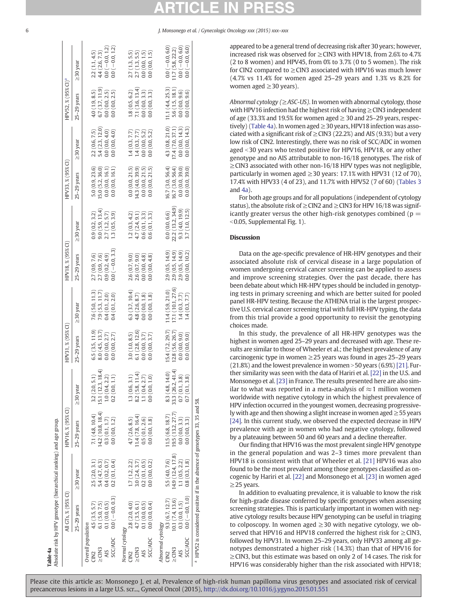All GTs, % (95% CI) HPV16, % (95% CI) HPV31, % (95% CI) HPV18, % (95% CI) HPV33, % (95% CI) HPV52, % (95% CI)a  $H$ PV18 % (95% $C1$ ) É  $HDY31$  %  $(95%$  $H$ PV16  $\%$  (95 $\%$  CV) Absolute risk by HPV genotype (hierarchical ranking) and age group. Absolute risk by HPV genotype (hierarchical ranking) and age group. E  $\frac{\alpha}{2}$  (  $95\%$ CT°  $\frac{1}{2}$ 

Table 4a

|                   | All CTs, % (95% CI) |                  | HPV16, % (95% CI)                                                                       |                                                                                       | HPV31, % (95% CI) |                   | HPV18, % (95% CI) |                   | HPV33, % (95% CI) |                                    | HPV52, % (95% CI) <sup>a</sup> |                                                                        |
|-------------------|---------------------|------------------|-----------------------------------------------------------------------------------------|---------------------------------------------------------------------------------------|-------------------|-------------------|-------------------|-------------------|-------------------|------------------------------------|--------------------------------|------------------------------------------------------------------------|
|                   | $25-29$ years       | $\geq$ 30 year   | $25-29$ years                                                                           | $\geq$ 30 year                                                                        | 25-29 years       | $\geq$ 30 year    | $25-29$ years     | $\geq$ 30 year    | $25-29$ years     | $\geq$ 30 year                     | 25-29 years                    | $\geq$ 30 year                                                         |
| verall population | 4.5(3.5, 5.7)       | 2.5(2.0, 3.1)    | 7.1(4.8, 10.4)                                                                          | 3.2(2.0, 5.1)                                                                         | 6.5(3.5, 11.9)    | 7.6(5.0, 11.3)    | 2.7 (0.9, 7.6)    | 0.9(0.2, 3.2)     | 5.0(0.9, 23.6)    |                                    | 4.0(1.9, 8.5)                  | 2.2(1.1, 4.5)                                                          |
| $\geq$ CIN3       | 6.1(5.0, 7.5)       | 5.4(4.7, 6.3)    | 4.2 (10.8, 18.4)                                                                        | 15.1(12.3, 18.4)                                                                      | 8.0(4.5, 13.7)    | 7.9(5.3, 11.7)    | 2.7(0.9, 7.6)     | 9.0(5.9, 13.4)    | .5.0(5.2, 36.0)   | $2.2(0.6, 7.5)$<br>5.4 (2.3, 12.0) | 6.7(3.7, 11.9)                 |                                                                        |
| <b>AIS</b>        | 0.1(0.0, 0.5)       | 0.4(0.2, 0.7)    | 0.3(0.1, 1.7)                                                                           | $\begin{array}{c} 1.0\;(0.4, 2.2)\\ 0.2\;(0.0, 1.1) \end{array}$                      | 0.0(0.0, 2.7)     | 0.4(0.1, 2.0)     | 0.9(0.2, 4.9)     | 2.7(1.2, 5.7)     | 0.0(0.0, 16.1)    | 0.0(0.0, 4.0)                      | 0.0(0.0, 2.5)                  | $\begin{array}{c} 4.4\ (2.6,\, 7.3) \\ 0.0\ (-0.0,\, 1.2) \end{array}$ |
| <b>SCC/ADC</b>    | $0.0 (-0.0, 0.3)$   | 0.2(0.1, 0.4)    | 0.0(0.0, 1.2)                                                                           |                                                                                       | 0.0(0.0, 2.7)     | 0.4(0.1, 2.0)     | $0.0 (-0.0, 3.3)$ | 1.3(0.5, 3.9)     | 0.0(0.0, 16.1)    | 0.0(0.0, 4.0)                      | 0.0(0.0, 2.5)                  | $0.0(-0.0, 1.2)$                                                       |
| Normal cytology   |                     |                  |                                                                                         |                                                                                       |                   |                   |                   |                   |                   |                                    |                                |                                                                        |
|                   | 2.8 (2.0, 4.0)      | 1.7(1.2, 2.2)    | 4.7 (2.6, 8.5)                                                                          | $\begin{array}{c} 1.3\ (0.6, 3.1) \\ 8.2\ (5.8, 11.4) \\ 1.1\ (0.4, 2.7) \end{array}$ | 3.0(1.0, 8.5)     | 6.3(3.7, 10.4)    | 2.6(0.7, 9.0)     | (0.3, 4.2)        | 0.0(0.0, 21.5)    | 1.4(0.3, 7.7)                      | 1.8(0.5, 6.2)                  |                                                                        |
| $\geq$ CIN3       | 4.7(3.5, 6.1)       | 3.0(2.4, 3.7)    | 1.4(7.8, 16.4)                                                                          |                                                                                       | 6.1 (2.8, 12.6)   | 4.8 (2.6, 8.7)    | 2.6(0.7, 9.0)     | 4.7(2.4, 9.1)     | 14.3(4.0, 39.9)   | 1.4(0.3, 7.7)                      | 7.1 (3.6, 13.4)                | $2.7(1.3, 5.5)$<br>$2.7(1.3, 5.5)$                                     |
|                   | 0.1(0.0, 0.5)       | 0.2(0.1, 0.5)    | 0.5(0.1, 2.6)                                                                           |                                                                                       | 0.0(0.0, 3.7)     | 0.0(0.0, 1.8)     | 0.0(0.0, 4.8)     | 0.6(0.1, 3.3)     | 0.0(0.0, 21.5)    | 0.0(0.0, 5.2)                      | 0.0(0.0, 3.3)                  | 0.0(0.0, 1.5)                                                          |
| <b>SCC/ADC</b>    | 0.0(0.0, 0.4)       | 0.0(0.0, 0.2)    | 0.0(0.0, 1.8)                                                                           | $1.0)$<br>0.0(0.0,                                                                    | 0.0(0.0, 3.7)     | 0.0(0.0, 1.8)     | 0.0(0.0, 4.8)     | 0.6(0.1, 3.3)     | 0.0(0.0, 21.5)    | 0.0(0.0, 5.2)                      | 0.0(0.0, 3.3)                  | 0.0(0.0, 1.5)                                                          |
| Abnormal cytology |                     |                  |                                                                                         |                                                                                       |                   |                   |                   |                   |                   |                                    |                                |                                                                        |
|                   | 9.3(6.7, 12.7)      | 5.5 (4.0, 7.6)   | 11.5 (6.8, 18.7)                                                                        | 8.3 (4.8, 14.0)                                                                       | 15.4 (7.2, 29.7)  | 11.4(5.9, 21.0)   | 2.9(0.5, 14.9)    | 0.0(0.0, 6.6)     | 16.7 (3.0, 56.4)  | 4.3(0.8, 21.0)                     | 11.1 (4.4, 25.3)               | $0.0 (-0.0, 6.0)$                                                      |
| $\geq$ CIN3       | 10.1(7.4, 13.6)     | (4.9(12.4, 17.8) | 19.5 (13.2, 27.7)                                                                       | (41.4)<br>33.3 (26.2)                                                                 | 12.8 (5.6, 26.7)  | 17.1 (10.1, 27.6) | 2.9(0.5, 14.9)    | 22.2 (13.2, 34.9) | 16.7 (3.0, 56.4)  | 7.4(7.0, 37.1)                     | 5.6(1.5, 18.1)                 | 11.7(5.8, 22.2)                                                        |
|                   | 0.3(0.0, 1.5)       | 1.1(0.5, 2.2)    | 0.0(0.0, 3.3)                                                                           | 0.7(0.1, 3.8)                                                                         | 0.0(0.0, 9.0)     | 1.4(0.3, 7.7)     | 2.9(0.5, 14.9)    | 9.3(4.0, 19.9)    | 0.0(0.0, 39.0)    | 0.0(0.0, 14.3)                     | 0.0(0.0, 9.6)                  | $0.0 (-0.0, 6.0)$                                                      |
| <b>SCC/ADC</b>    | $0.0 (-0.0, 1.0)$   | 0.8(0.3, 1.8)    | 0.0(0.0, 3.3)                                                                           | 3.8)<br>0.7(0.1,                                                                      | 0.0(0.0, 9.0)     | 1.4(0.3, 7.7)     | 0.0(0.0, 10.2)    | 3.7(1.0, 12.5)    | 0.0(0.0, 39.0)    | 0.0(0.0, 14.3)                     | 0.0(0.0, 9.6)                  | $0.0 (-0.0, 6.0)$                                                      |
|                   |                     |                  | <sup>a</sup> HPV52 is considered positive if in the absence of genotypes 33, 35 and 58. |                                                                                       |                   |                   |                   |                   |                   |                                    |                                |                                                                        |

appeared to be a general trend of decreasing risk after 30 years; however, increased risk was observed for ≥CIN3 with HPV18, from 2.6% to 4.7% (2 to 8 women) and HPV45, from 0% to 3.7% (0 to 5 women). The risk for CIN2 compared to  $\geq$  CIN3 associated with HPV16 was much lower (4.7% vs 11.4% for women aged 25–29 years and 1.3% vs 8.2% for women aged ≥30 years).

Abnormal cytology (≥ASC-US). In women with abnormal cytology, those with HPV16 infection had the highest risk of having ≥CIN3 independent of age (33.3% and 19.5% for women aged  $\geq$  30 and 25–29 years, respectively) (Table 4a). In women aged  $\geq$  30 years, HPV18 infection was associated with a significant risk of  $\geq$  CIN3 (22.2%) and AIS (9.3%) but a very low risk of CIN2. Interestingly, there was no risk of SCC/ADC in women aged <30 years who tested positive for HPV16, HPV18, or any other genotype and no AIS attributable to non-16/18 genotypes. The risk of ≥CIN3 associated with other non-16/18 HPV types was not negligible, particularly in women aged  $\geq$  30 years: 17.1% with HPV31 (12 of 70), 17.4% with HPV33 (4 of 23), and 11.7% with HPV52 (7 of 60) ([Tables 3](#page-4-0) and  $4a$ ).

For both age groups and for all populations (independent of cytology status), the absolute risk of  $\geq$  CIN2 and  $\geq$  CIN3 for HPV 16/18 was significantly greater versus the other high-risk genotypes combined ( $p =$  $\leq$ 0.05, Supplemental Fig. 1).

### **Discussion**

Data on the age-specific prevalence of HR-HPV genotypes and their associated absolute risk of cervical disease in a large population of women undergoing cervical cancer screening can be applied to assess and improve screening strategies. Over the past decade, there has been debate about which HR-HPV types should be included in genotyping tests in primary screening and which are better suited for pooled panel HR-HPV testing. Because the ATHENA trial is the largest prospective U.S. cervical cancer screening trial with full HR-HPV typing, the data from this trial provide a good opportunity to revisit the genotyping choices made.

In this study, the prevalence of all HR-HPV genotypes was the highest in women aged 25–29 years and decreased with age. These results are similar to those of Wheeler et al.; the highest prevalence of any carcinogenic type in women  $\geq$  25 years was found in ages 25–29 years  $(21.8\%)$  and the lowest prevalence in women  $>$  50 years (6.9%) [\[21\].](#page-7-0) Further similarity was seen with the data of Hariri et al. [\[22\]](#page-7-0) in the U.S. and Monsonego et al. [\[23\]](#page-7-0) in France. The results presented here are also similar to what was reported in a meta-analysis of  $\approx$  1 million women worldwide with negative cytology in which the highest prevalence of HPV infection occurred in the youngest women, decreasing progressively with age and then showing a slight increase in women aged  $\geq$  55 years [\[24\]](#page-7-0). In this current study, we observed the expected decrease in HPV prevalence with age in women who had negative cytology, followed by a plateauing between 50 and 60 years and a decline thereafter.

Our finding that HPV16 was the most prevalent single HPV genotype in the general population and was 2–3 times more prevalent than HPV18 is consistent with that of Wheeler et al. [\[21\]](#page-7-0) HPV16 was also found to be the most prevalent among those genotypes classified as oncogenic by Hariri et al. [\[22\]](#page-7-0) and Monsonego et al. [\[23\]](#page-7-0) in women aged ≥25 years.

In addition to evaluating prevalence, it is valuable to know the risk for high-grade disease conferred by specific genotypes when assessing screening strategies. This is particularly important in women with negative cytology results because HPV genotyping can be useful in triaging to colposcopy. In women aged  $\geq$  30 with negative cytology, we observed that HPV16 and HPV18 conferred the highest risk for ≥CIN3, followed by HPV31. In women 25–29 years, only HPV33 among all genotypes demonstrated a higher risk (14.3%) than that of HPV16 for ≥CIN3, but this estimate was based on only 2 of 14 cases. The risk for HPV16 was considerably higher than the risk associated with HPV18;

<span id="page-5-0"></span>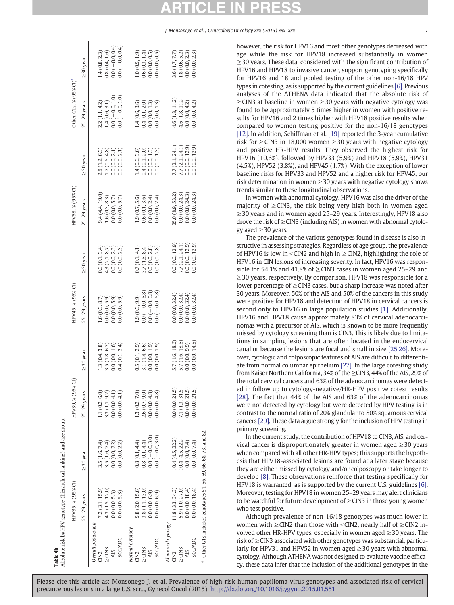Table 4b<br>Absolute risk by HPV genotype (hierarchical ranking) and age group. **Table 4b**<br>Absolute risk by HPV genotype (hierarchical ranking) and age group.

|                    | HPV35, % (95% CI)                                                        |                   | HPV39, % (95%   |                | HPV45, % (95% CI) |                 | HPV58, % (95% CI) |                 | Other GTs, $\frac{8}{2}$ (95% CI) <sup>a</sup> |                     |
|--------------------|--------------------------------------------------------------------------|-------------------|-----------------|----------------|-------------------|-----------------|-------------------|-----------------|------------------------------------------------|---------------------|
|                    | $25-29$ years                                                            | $\geq$ 30 year    | $25-29$ years   | $\geq$ 30 vear | 25-29 years       | $\geq$ 30 year  | 25-29 years       | $\geq$ 30 year  | 25-29 years                                    | $\geq$ 30 vear      |
| Overall population |                                                                          |                   |                 |                |                   |                 |                   |                 |                                                |                     |
|                    | 7.2(3.1, 15.9)                                                           | 3.5(1.6, 7.4)     | 1.1(0.2, 6.0)   | 3(0.4, 3.8)    | 1.6(0.3, 8.7)     | 0.6(0.1, 3.4)   | 9.4(4.4, 19.0)    | 2.8(1.2, 6.3)   | 2.2(1.1, 4.2)                                  | (4(0.8, 2.3))       |
| $\geq$ CIN3        | 4.3 (1.5, 12.0)                                                          | 3.5(1.6, 7.4)     | 3.3(1.1, 9.2)   | 3.5 (1.8, 6.7) | 0.0(0.0, 5.9)     | 4.3(2.1, 8.7)   | .6(0.3, 8.3)      | 1.7(0.6, 4.8)   | 1.4(0.6, 3.1)                                  | 0.8(0.4, 1.6)       |
| AIS                | 0.0(0.0, 5.3)                                                            | 0.0(0.0, 2.2)     | 0.0(0.0, 4.1)   | 0.0(0.0, 1.6)  | 0.0(0.0, 5.9)     | 0.0(0.0, 2.3)   | 0.0(0.0, 5.7)     | 0.0(0.0, 2.1)   | $0.0 (-0.0, 1.0)$                              | $0.0 (-0.0, 0.4)$   |
| <b>SCC/ADC</b>     | 0.0(0.0, 5.3)                                                            | 0.0(0.0, 2.2)     | 0.0(0.0, 4.1)   | 0.4(0.1, 2.4)  | 0.0(0.0.5.9)      | 0.0(0.0, 2.3)   | 0.0(0.0, 5.7)     | 0.0(0.0, 2.1)   | $0.0(-0.0, 1.0)$                               | $0.0$ $(-0.0, 0.4)$ |
| Normal cytology    |                                                                          |                   |                 |                |                   |                 |                   |                 |                                                |                     |
|                    | 5.8 (2.0, 15.6)                                                          | 0.8(0.1, 4.4)     | 1.3(0.2, 7.0)   | 0.5(0.1, 2.9)  | .9(0.3, 9.9)      | 0.7(0.1, 4.1)   | .9(0.7, 5.6)      | (4(0.6, 3.6))   | .4(0.6, 3.6)                                   | (0.5, 1.9)          |
| $\geq$ CIN3        | 3.8(1.1, 13.0)                                                           | 0.8(0.1, 4.4)     | 2.6(0.7, 9.0)   | 3.1(1.4, 6.6)  | $0.0 (-0.0, 6.8)$ | 3.7(1.6, 8.4)   | 0.6(0.1, 3.6)     | 0.4(0.1, 2.0)   | 0.4(0.1, 2.0)                                  | 0.6(0.3, 1.4)       |
| AIS                | 0.0(0.0, 6.9)                                                            | $0.0 (-0.0, 3.0)$ | 0.0(0.0, 4.8)   | 0.0(0.0, 1.9)  | $0.0 (-0.0, 6.8)$ | 0.0(0.0, 2.8)   | 0.0(0.0, 2.4)     | 0.0(0.0, 1.3)   | 0.0(0.0, 1.3)                                  | 0.0(0.0, 0.5)       |
| SCC/ADC            | 0.0(0.0, 6.9)                                                            | $0.0(-0.0, 3.0)$  | 0.0(0.0, 4.8)   | 0.0(0.0, 1.9)  | $0.0(-0.0, 6.8)$  | 0.0(0.0, 2.8)   | 0.0(0.0, 2.4)     | 0.0(0.0, 1.3)   | 0.0(0.0, 1.3)                                  | 0.0(0.0, 0.5)       |
| Abnormal cytology  |                                                                          |                   |                 |                |                   |                 |                   |                 |                                                |                     |
|                    | 11.8(3.3, 34.3)                                                          | 10.4(4.5, 22.2)   | 0.0(0.0, 21.5)  | (7(1.6, 18.6)) | 0.0(0.0, 32.4)    | 0.0(0.0, 12.9)  | 25.0 (8.9, 53.2)  | 7.7 (2.1, 24.1) | 4.6(1.8, 11.2)                                 | 3.6(1.7, 7.7)       |
| $\geq$ CIN3        | 5.9(1.0, 27.0)                                                           | 10.4(4.5, 22.2)   | 7.1 (1.3, 31.5) | .7(1.6, 18.6)  | 0.0(0.0, 32.4)    | 7.7 (2.1, 24.1) | 0.0(0.0, 24.3)    | 7.7(2.1, 24.1)  | 4.6(1.8, 11.2)                                 | 1.8(0.6, 5.2)       |
|                    | 0.0(0.0, 18.4)                                                           | 0.0(0.0, 7.4)     | 0.0(0.0, 21.5)  | 0.0(0.0, 9.9)  | 0.0(0.0, 32.4)    | 0.0(0.0, 12.9)  | 0.0(0.0, 24.3)    | 0.0(0.0, 12.9)  | 0.0(0.0, 4.2)                                  | 0.0(0.0, 2.3)       |
| SCC/ADC            | 0.0(0.0, 18.4)                                                           | 0.0(0.0, 7.4)     | 0.0(0.0, 21.5)  | 0.0(0.0, 14.5) | 0.0(0.0, 32.4)    | 0.0(0.0, 12.9)  | 0.0(0.0, 24.3)    | 0.0(0.0, 12.9)  | 0.0(0.0, 4.2)                                  | 0.0(0.0, 2.3)       |
|                    | <sup>a</sup> Other GTs includes genotypes 51, 56, 59, 66, 68, 73, and 82 |                   |                 |                |                   |                 |                   |                 |                                                |                     |

however, the risk for HPV16 and most other genotypes decreased with age while the risk for HPV18 increased substantially in women ≥30 years. These data, considered with the significant contribution of HPV16 and HPV18 to invasive cancer, support genotyping specifically for HPV16 and 18 and pooled testing of the other non-16/18 HPV types in cotesting, as is supported by the current guidelines [\[6\].](#page-7-0) Previous analyses of the ATHENA data indicated that the absolute risk of  $\geq$ CIN3 at baseline in women  $\geq$ 30 years with negative cytology was found to be approximately 5 times higher in women with positive results for HPV16 and 2 times higher with HPV18 positive results when compared to women testing positive for the non-16/18 genotypes [\[12\]](#page-7-0). In addition, Schiffman et al. [\[19\]](#page-7-0) reported the 3-year cumulative risk for ≥CIN3 in 18,000 women ≥30 years with negative cytology and positive HR-HPV results. They observed the highest risk for HPV16 (10.6%), followed by HPV33 (5.9%) and HPV18 (5.9%), HPV31 (4.5%), HPV52 (3.8%), and HPV45 (1.7%). With the exception of lower baseline risks for HPV33 and HPV52 and a higher risk for HPV45, our risk determination in women  $\geq$  30 years with negative cytology shows trends similar to these longitudinal observations.

In women with abnormal cytology, HPV16 was also the driver of the majority of  $\geq$  CIN3, the risk being very high both in women aged ≥30 years and in women aged 25–29 years. Interestingly, HPV18 also drove the risk of  $\geq$  CIN3 (including AIS) in women with abnormal cytology aged  $\geq$  30 years.

The prevalence of the various genotypes found in disease is also instructive in assessing strategies. Regardless of age group, the prevalence of HPV16 is low in <CIN2 and high in  $\geq$ CIN2, highlighting the role of HPV16 in CIN lesions of increasing severity. In fact, HPV16 was responsible for 54.1% and 41.8% of  $\geq$  CIN3 cases in women aged 25–29 and ≥30 years, respectively. By comparison, HPV18 was responsible for a lower percentage of  $\geq$  CIN3 cases, but a sharp increase was noted after 30 years. Moreover, 50% of the AIS and 50% of the cancers in this study were positive for HPV18 and detection of HPV18 in cervical cancers is second only to HPV16 in large population studies [\[1\].](#page-7-0) Additionally, HPV16 and HPV18 cause approximately 83% of cervical adenocarcinomas with a precursor of AIS, which is known to be more frequently missed by cytology screening than is CIN3. This is likely due to limitations in sampling lesions that are often located in the endocervical canal or because the lesions are focal and small in size [\[25,26\]](#page-7-0). Moreover, cytologic and colposcopic features of AIS are difficult to differentiate from normal columnar epithelium [\[27\]](#page-7-0). In the large cotesting study from Kaiser Northern California, 34% of the ≥CIN3, 44% of the AIS, 29% of the total cervical cancers and 63% of the adenocarcinomas were detected in follow up to cytology-negative/HR-HPV positive cotest results [\[28\]](#page-7-0). The fact that 44% of the AIS and 63% of the adenocarcinomas were not detected by cytology but were detected by HPV testing is in contrast to the normal ratio of 20% glandular to 80% squamous cervical cancers [\[29\]](#page-7-0). These data argue strongly for the inclusion of HPV testing in primary screening.

In the current study, the contribution of HPV18 to CIN3, AIS, and cervical cancer is disproportionately greater in women aged ≥30 years when compared with all other HR-HPV types; this supports the hypothesis that HPV18-associated lesions are found at a later stage because they are either missed by cytology and/or colposcopy or take longer to develop [\[8\]](#page-7-0). These observations reinforce that testing specifically for HPV18 is warranted, as is supported by the current U.S. guidelines [\[6\].](#page-7-0) Moreover, testing for HPV18 in women 25–29 years may alert clinicians to be watchful for future development of ≥CIN3 in those young women who test positive.

Although prevalence of non-16/18 genotypes was much lower in women with  $\geq$  CIN2 than those with <CIN2, nearly half of  $\geq$  CIN2 involved other HR-HPV types, especially in women aged  $\geq$  30 years. The risk of ≥CIN3 associated with other genotypes was substantial, particularly for HPV31 and HPV52 in women aged  $\geq$ 30 years with abnormal cytology. Although ATHENA was not designed to evaluate vaccine efficacy, these data infer that the inclusion of the additional genotypes in the